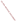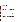# **Consumer Factsheet on: BARIUM**

[List of Contaminants](http://www.epa.gov/safewater/hfacts.html) 

 As part of the Drinking Water and Health pages, this fact sheet is part of a larger publication: **National Primary Drinking Water Regulations** 

 States Environmental Protection Agency (EPA). This is a factsheet about a chemical that may be found in some public or private drinking water supplies. It may cause health problems if found in amounts greater than the health standard set by the United

#### **What is Barium and how is it used?**

 elements. It is used in making a wide variety of electronic components, in metal alloys, bleaches, dyes, fireworks, ceramics and glass. In particular, it is used in well drilling operations where it is directly released into the ground. Barium is a lustrous, machinable metal which exists in nature only in ores containing mixtures of

## **Why is Barium being regulated?**

 based solely on possible health risks and exposure, are called Maximum Contaminant Level Goals. In 1974, Congress passed the Safe Drinking Water Act. This law requires EPA to determine safe levels of chemicals in drinking water which do or may cause health problems. These non-enforceable levels,

 The MCLG for barium has been set at 2 parts per million (ppm) because EPA believes this level of protection would not cause any of the potential health problems described below.

 Based on this MCLG, EPA has set an enforceable standard called a Maximum Contaminant Level (MCL). MCLs are set as close to the MCLGs as possible, considering the ability of public water systems to detect and remove contaminants using suitable treatment technologies.

 should it occur in drinking water. The MCL has also been set at 2 ppm because EPA believes, given present technology and resources, this is the lowest level to which water systems can reasonably be required to remove this contaminant

These drinking water standards and the regulations for ensuring these standards are met, are called National Primary Drinking Water Regulations. All public water supplies must abide by these regulations.

## **What are the health effects?**

 Short-term: EPA has found barium to potentially cause the following health effects when people are exposed to it at levels above the MCL for relatively short periods of time: gastrointestinal disturbances and muscular weakness.

 above the MCL: high blood pressure. Long-term: Barium has the potential to cause the following effects from a lifetime exposure at levels

## **How much Barium is produced and released to the environment?**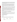The most common ores are found in AK, AR, CA, GA, KY, MO, NV, and TN. Barite was produced at 38 mines in these states in 1973, with Nevada supplying 50% of the tonnage. Barium is released to water and soil in the discharge and disposal of drilling wastes, from the smelting of copper, and the manufacture of motor vehicle parts and accessories.

From 1987 to 1993, according to the Toxics Release Inventory barium compound releases to land and water totaled over 57 million lbs. These releases were primarily from copper smelting industries. The largest releases occurred in Arizona and Utah. The largest direct releases to water occurred in Texas.

### **What happens to Barium when it is released to the environment?**

In water, the more toxic soluble barium salts are likely to be converted to insoluble salts which precipitate. Barium does not bind to most soils and may migrate to ground water. It has a low tendency to accumulate in aquatic life.

#### **How will Barium be detected in and removed from my drinking water?**

The regulation for barium became effective in 1992. Between 1993 and 1995, EPA required your water supplier to collect water samples once and analyze them to find out if barium is present above 2 ppm. If it is present above this level, the system must continue to monitor this contaminant.

If contaminant levels are found to be consistently above the MCL, your water supplier must take steps to reduce the amount of barium so that it is consistently below that level. The following treatment methods have been approved by EPA for removing barium: Ion Exchange, Reverse Osmosis, Lime Softening, Electrodialysis.

## **How will I know if Barium is in my drinking water?**

If the levels of barium exceed the MCL, the system must notify the public via newspapers, radio, TV and other means. Additional actions, such as providing alternative drinking water supplies, may be required to prevent serious risks to public health.

This is a factsheet about a chemical that may be found in some public or private drinking water supplies. It may cause health problems if found in amounts greater than the health standard set by the United States Environmental Protection Agency (EPA).

## **Drinking Water Standards:**

MCLG: 2 ppm

MCL: 2 ppm

## **Barium Releases to Water and Land: 1987 to 1993 (in pounds)**

|               | Water   | Land       |  |
|---------------|---------|------------|--|
| <b>TOTALS</b> | 928,448 | 57,063,031 |  |

**Top Ten States \***